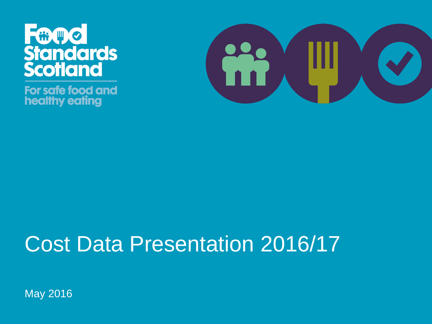

For safe food and healthy eating



#### Cost Data Presentation 2016/17

May 2016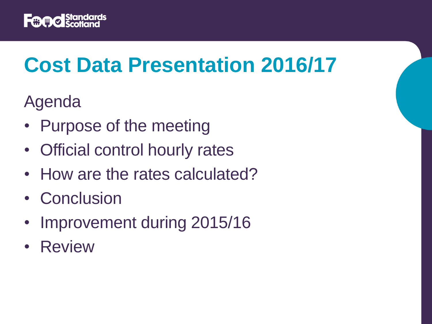

# **Cost Data Presentation 2016/17**

Agenda

- Purpose of the meeting
- Official control hourly rates
- How are the rates calculated?
- Conclusion
- Improvement during 2015/16
- Review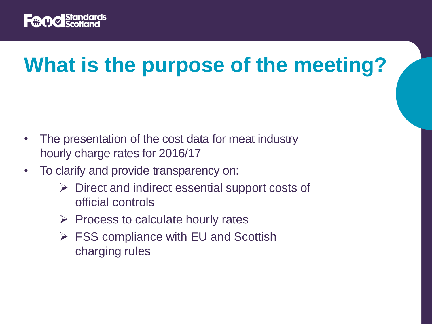

# **What is the purpose of the meeting?**

- The presentation of the cost data for meat industry hourly charge rates for 2016/17
- To clarify and provide transparency on:
	- $\triangleright$  Direct and indirect essential support costs of official controls
	- $\triangleright$  Process to calculate hourly rates
	- $\triangleright$  FSS compliance with EU and Scottish charging rules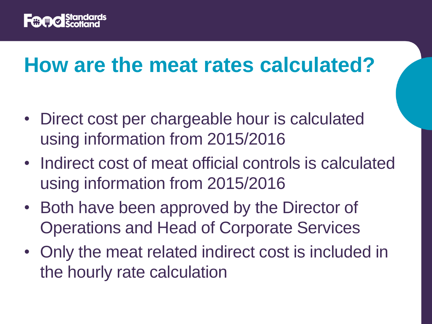

#### **How are the meat rates calculated?**

- Direct cost per chargeable hour is calculated using information from 2015/2016
- Indirect cost of meat official controls is calculated using information from 2015/2016
- Both have been approved by the Director of Operations and Head of Corporate Services
- Only the meat related indirect cost is included in the hourly rate calculation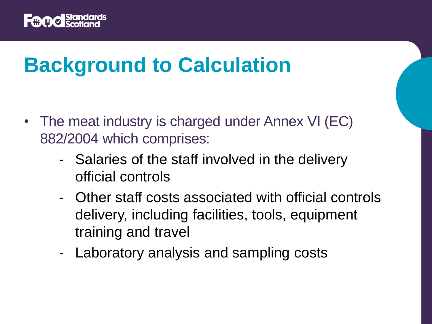

## **Background to Calculation**

- The meat industry is charged under Annex VI (EC) 882/2004 which comprises:
	- Salaries of the staff involved in the delivery official controls
	- Other staff costs associated with official controls delivery, including facilities, tools, equipment training and travel
	- Laboratory analysis and sampling costs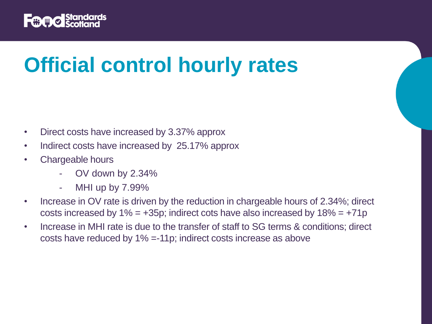

# **Official control hourly rates**

- Direct costs have increased by 3.37% approx
- Indirect costs have increased by 25.17% approx
- Chargeable hours
	- OV down by 2.34%
	- MHI up by 7.99%
- Increase in OV rate is driven by the reduction in chargeable hours of 2.34%; direct costs increased by  $1\% = +35p$ ; indirect cots have also increased by  $18\% = +71p$
- Increase in MHI rate is due to the transfer of staff to SG terms & conditions; direct costs have reduced by 1% =-11p; indirect costs increase as above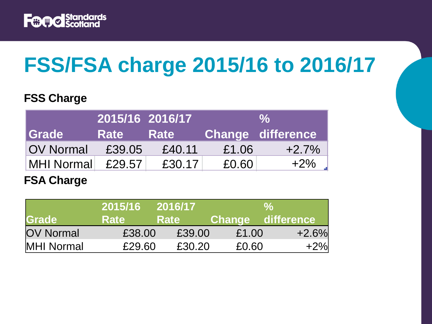

# **FSS/FSA charge 2015/16 to 2016/17**

#### **FSS Charge**

|                  | 2015/16 2016/17 |             | $\frac{1}{2}$ |                          |
|------------------|-----------------|-------------|---------------|--------------------------|
| <b>Srade</b>     | <b>Rate</b>     | <b>Rate</b> |               | <b>Change difference</b> |
| <b>OV Normal</b> | £39.05          | £40.11      | £1.06         | $+2.7\%$                 |
| MHI Normal       | £29.57          | £30.17      | £0.60         | $+2\%$                   |

#### **FSA Charge**

|                   | 2015/16     | 2016/17     |                   | $\%$    |
|-------------------|-------------|-------------|-------------------|---------|
| Grade             | <b>Rate</b> | <b>Rate</b> | Change difference |         |
| <b>OV Normal</b>  | £38.00      | £39.00      | £1.00             | $+2.6%$ |
| <b>MHI Normal</b> | £29.60      | £30.20      | £0.60             | $+2%$   |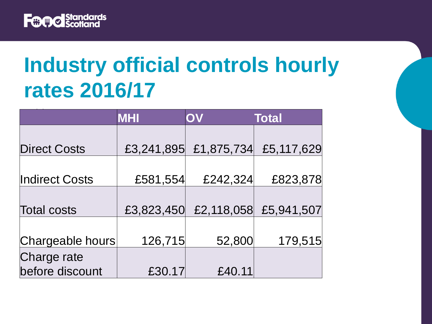

## **Industry official controls hourly rates 2016/17**

|                       | <b>MHI</b> | OV         | <b>Total</b> |  |
|-----------------------|------------|------------|--------------|--|
|                       |            |            |              |  |
| <b>Direct Costs</b>   | £3,241,895 | £1,875,734 | £5,117,629   |  |
|                       |            |            |              |  |
| <b>Indirect Costs</b> | £581,554   | £242,324   | £823,878     |  |
|                       |            |            |              |  |
| <b>Total costs</b>    | £3,823,450 | £2,118,058 | £5,941,507   |  |
|                       |            |            |              |  |
| Chargeable hours      | 126,715    | 52,800     | 179,515      |  |
| Charge rate           |            |            |              |  |
| before discount       | £30.17     | £40.11     |              |  |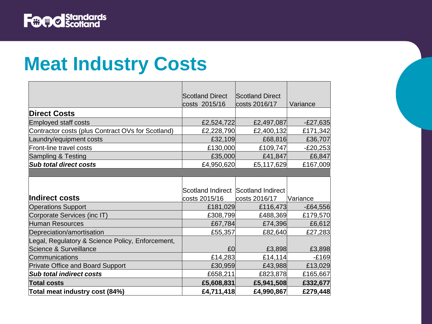

#### **Meat Industry Costs**

|                                                   | <b>Scotland Direct</b>              | <b>Scotland Direct</b> |            |
|---------------------------------------------------|-------------------------------------|------------------------|------------|
|                                                   | costs 2015/16                       | costs 2016/17          | Variance   |
| <b>Direct Costs</b>                               |                                     |                        |            |
| <b>Employed staff costs</b>                       | £2,524,722                          | £2,497,087             | $-E27,635$ |
| Contractor costs (plus Contract OVs for Scotland) | £2,228,790                          | £2,400,132             | £171,342   |
| Laundry/equipment costs                           | £32,109                             | £68,816                | £36,707    |
| Front-line travel costs                           | £130,000                            | £109,747               | $-E20,253$ |
| Sampling & Testing                                | £35,000                             | £41,847                | £6,847     |
| <b>Sub total direct costs</b>                     | £4,950,620                          | £5,117,629             | £167,009   |
|                                                   |                                     |                        |            |
|                                                   |                                     |                        |            |
|                                                   | Scotland Indirect Scotland Indirect |                        |            |
| Indirect costs                                    | costs 2015/16                       | costs 2016/17          | Variance   |
| <b>Operations Support</b>                         | £181,029                            | £116,473               | $-E64,556$ |
| Corporate Services (inc IT)                       | £308,799                            | £488,369               | £179,570   |
| Human Resources                                   | £67,784                             | £74,396                | £6,612     |
| Depreciation/amortisation                         | £55,357                             | £82,640                | £27,283    |
| Legal, Regulatory & Science Policy, Enforcement,  |                                     |                        |            |
| Science & Surveillance                            | E <sub>0</sub>                      | £3,898                 | £3,898     |
| Communications                                    | £14,283                             | £14,114                | $-£169$    |
| <b>Private Office and Board Support</b>           | £30,959                             | £43,988                | £13,029    |
| <b>Sub total indirect costs</b>                   | £658,211                            | £823,878               | £165,667   |
| <b>Total costs</b>                                | £5,608,831                          | £5,941,508             | £332,677   |
| Total meat industry cost (84%)                    | £4,711,418                          | £4,990,867             | £279,448   |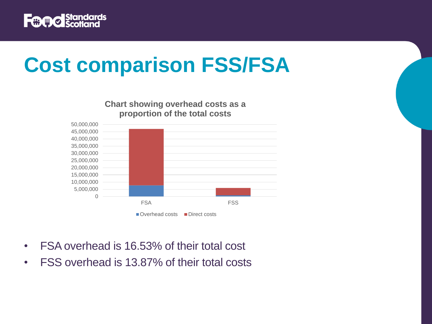

# **Cost comparison FSS/FSA**

0 5,000,000 10,000,000 15,000,000 20,000,000 25,000,000 30,000,000 35,000,000 40,000,000 45,000,000 50,000,000 FSA FSS **Chart showing overhead costs as a proportion of the total costs** Overhead costs Direct costs

- FSA overhead is 16.53% of their total cost
- FSS overhead is 13.87% of their total costs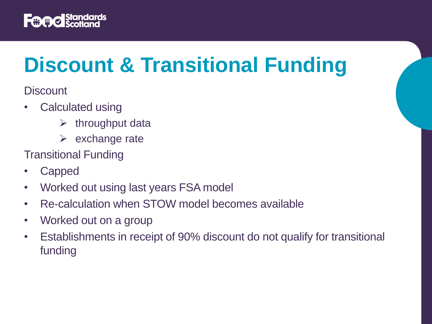

# **Discount & Transitional Funding**

**Discount** 

- Calculated using
	- $\triangleright$  throughput data
	- $\triangleright$  exchange rate

Transitional Funding

- Capped
- Worked out using last years FSA model
- Re-calculation when STOW model becomes available
- Worked out on a group
- Establishments in receipt of 90% discount do not qualify for transitional funding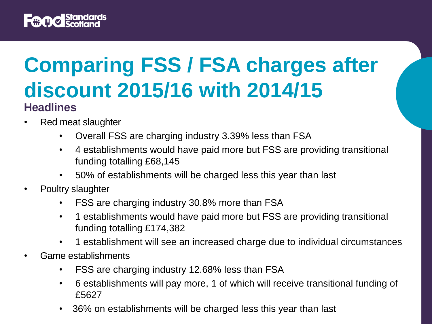

#### **Comparing FSS / FSA charges after discount 2015/16 with 2014/15 Headlines**

- Red meat slaughter
	- Overall FSS are charging industry 3.39% less than FSA
	- 4 establishments would have paid more but FSS are providing transitional funding totalling £68,145
	- 50% of establishments will be charged less this year than last
- Poultry slaughter
	- FSS are charging industry 30.8% more than FSA
	- 1 establishments would have paid more but FSS are providing transitional funding totalling £174,382
	- 1 establishment will see an increased charge due to individual circumstances
- Game establishments
	- FSS are charging industry 12.68% less than FSA
	- 6 establishments will pay more, 1 of which will receive transitional funding of £5627
	- 36% on establishments will be charged less this year than last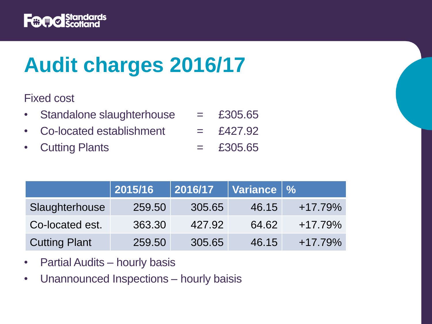

# **Audit charges 2016/17**

Fixed cost

- Standalone slaughterhouse  $=$  £305.65
- Co-located establishment  $=$  £427.92
- Cutting Plants  $=$  £305.65

|                      | 2015/16 | 2016/17 | Variance   % |           |
|----------------------|---------|---------|--------------|-----------|
| Slaughterhouse       | 259.50  | 305.65  | 46.15        | $+17.79%$ |
| Co-located est.      | 363.30  | 427.92  | 64.62        | $+17.79%$ |
| <b>Cutting Plant</b> | 259.50  | 305.65  | 46.15        | $+17.79%$ |

- Partial Audits hourly basis
- Unannounced Inspections hourly baisis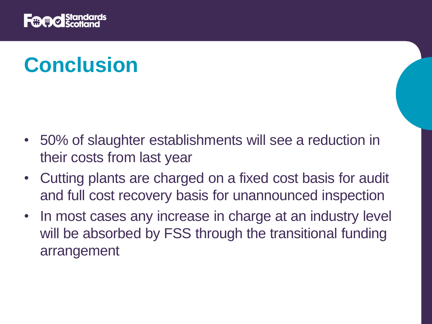

# **Conclusion**

- 50% of slaughter establishments will see a reduction in their costs from last year
- Cutting plants are charged on a fixed cost basis for audit and full cost recovery basis for unannounced inspection
- In most cases any increase in charge at an industry level will be absorbed by FSS through the transitional funding arrangement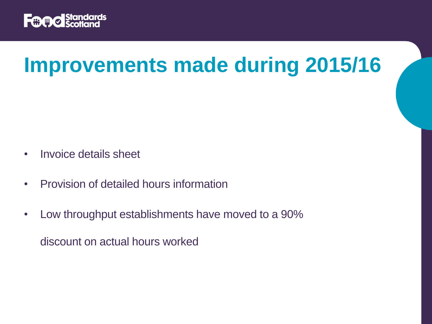

## **Improvements made during 2015/16**

- Invoice details sheet
- Provision of detailed hours information
- Low throughput establishments have moved to a 90% discount on actual hours worked